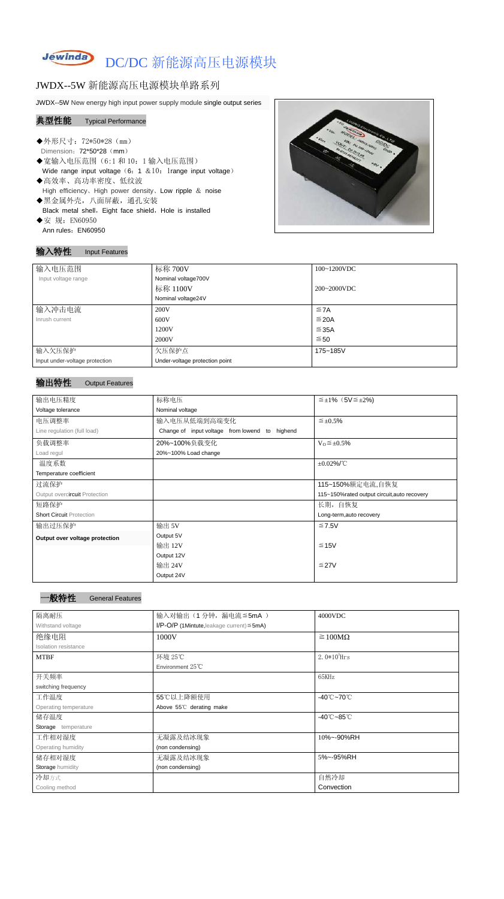## **Jewinda** DC/DC 新能源高压电源模块

# JWDX--5W 新能源高压电源模块单路系列

JWDX--5W New energy high input power supply module single output series

#### 典型性能 Typical Performance

- ◆外形尺寸: 72\*50\*28 (mm) Dimension: 72\*50\*28 (mm)
- ◆宽输入电压范围(6:1和 10: 1 输入电压范围) Wide range input voltage  $(6: 1 \& 10:1$ range input voltage)
- ◆高效率、高功率密度、低纹波 High efficiency、High power density、Low ripple & noise ◆黑金属外壳,八面屏蔽,通孔安装
- Black metal shell, Eight face shield, Hole is installed
- ◆安 规: EN60950 Ann rules: EN60950

## 输入特性 Input Features

#### 输出特性 Output Features

#### 一般特性 General Features

| 输入电压范围                         | 标称 700V                        | 100~1200VDC |
|--------------------------------|--------------------------------|-------------|
| Input voltage range            | Nominal voltage700V            |             |
|                                | 标称 1100V                       | 200~2000VDC |
|                                | Nominal voltage24V             |             |
| 输入冲击电流                         | 200V                           | $\leq$ 7A   |
| Inrush current                 | 600V                           | $\leq$ 20A  |
|                                | 1200V                          | ≤35A        |
|                                | 2000V                          | ≤ 50        |
| 输入欠压保护                         | 欠压保护点                          | 175~185V    |
| Input under-voltage protection | Under-voltage protection point |             |

| 输出电压精度                          | 标称电压                                           | $\leq \pm 1\%$ (5V $\leq \pm 2\%$ )          |  |  |
|---------------------------------|------------------------------------------------|----------------------------------------------|--|--|
| Voltage tolerance               | Nominal voltage                                |                                              |  |  |
| 电压调整率                           | 输入电压从低端到高端变化                                   | $\leq$ ±0.5%                                 |  |  |
| Line regulation (full load)     | Change of input voltage from lowend to highend |                                              |  |  |
| 负载调整率                           | 20%~100%负载变化                                   | $V_0 \leq \pm 0.5\%$                         |  |  |
| Load regul                      | 20%~100% Load change                           |                                              |  |  |
| 温度系数                            |                                                | $\pm 0.02\%$ /°C                             |  |  |
| Temperature coefficient         |                                                |                                              |  |  |
| 过流保护                            |                                                | 115~150%额定电流,自恢复                             |  |  |
| Output overcircuit Protection   |                                                | 115~150% rated output circuit, auto recovery |  |  |
| 短路保护                            |                                                | 长期, 自恢复                                      |  |  |
| <b>Short Circuit Protection</b> |                                                | Long-term, auto recovery                     |  |  |
| 输出过压保护                          | 输出 5V                                          | $≤ 7.5V$                                     |  |  |
| Output over voltage protection  | Output 5V                                      |                                              |  |  |
|                                 | 输出 12V                                         | $≤ 15V$                                      |  |  |
|                                 | Output 12V                                     |                                              |  |  |
|                                 | 输出 24V                                         | $≤27V$                                       |  |  |
|                                 | Output 24V                                     |                                              |  |  |

| 隔离耐压                  | 输入对输出(1分钟,漏电流≦5mA)<br>4000VDC                      |                                 |  |
|-----------------------|----------------------------------------------------|---------------------------------|--|
| Withstand voltage     | $I/P$ -O/P (1Mintute, leakage current) $\leq$ 5mA) |                                 |  |
| 绝缘电阻                  | 1000V                                              | $\geq 100M\Omega$               |  |
| Isolation resistance  |                                                    |                                 |  |
| <b>MTBF</b>           | 环境 25℃                                             | 2. $0*10^5$ Hrs                 |  |
|                       | Environment $25^{\circ}$ C                         |                                 |  |
| 开关频率                  |                                                    | 65KHz                           |  |
| switching frequency   |                                                    |                                 |  |
| 工作温度                  | 55℃以上降额使用                                          | $-40^{\circ}$ C $-70^{\circ}$ C |  |
| Operating temperature | Above 55°C derating make                           |                                 |  |
| 储存温度                  |                                                    | $-40^{\circ}$ C $-85^{\circ}$ C |  |
| Storage temperature   |                                                    |                                 |  |
| 工作相对湿度                | 无凝露及结冰现象                                           | 10%~-90%RH                      |  |
| Operating humidity    | (non condensing)                                   |                                 |  |
| 储存相对湿度                | 无凝露及结冰现象                                           | 5%~-95%RH                       |  |
| Storage humidity      | (non condensing)                                   |                                 |  |
| 冷却方式                  |                                                    | 自然冷却                            |  |
| Cooling method        |                                                    | Convection                      |  |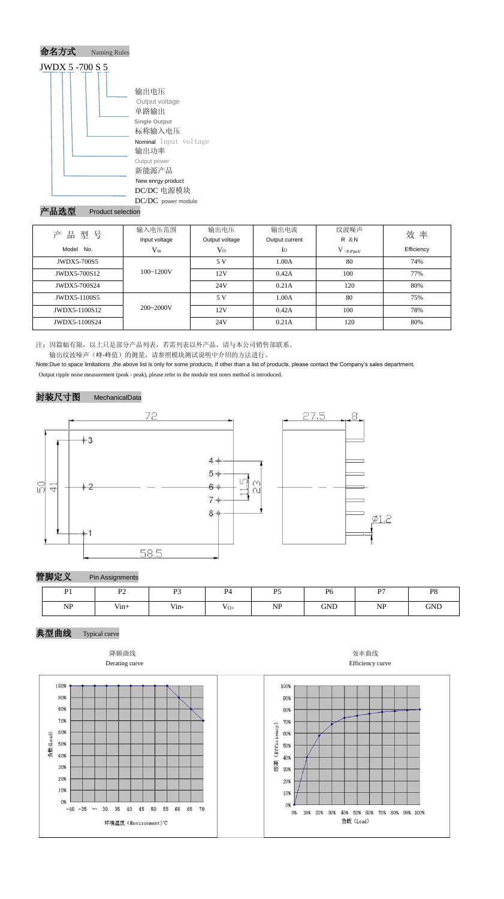

#### Product selection

注:因篇幅有限,以上只是部分产品列表,若需列表以外产品,请与本公司销售部联系。 输出纹波噪声(峰-峰值)的测量,请参照模块测试说明中介绍的方法进行。

Note:Due to space limitations ,the above list is only for some products, If other than a list of products, please contact the Company's sales department. Output ripple noise measurement (peak - peak), please refer to the module test notes method is introduced.

#### 封装尺寸图 MechanicalData



管脚定义 Pin Assignments

典型曲线 Typical curve





#### Derating curve **Efficiency** curve



| 产品型号                | 输入电压范围        | 输出电压           | 输出电流           | 纹波噪声        | 效率         |  |
|---------------------|---------------|----------------|----------------|-------------|------------|--|
|                     | Input voltage | Output voltage | Output current | R & N       |            |  |
| Model<br>No.        | $V_{in}$      | $\rm V_{O}$    | $I_{\rm O}$    | $V$ (p-P)mV | Efficiency |  |
| JWDX5-700S5         |               | 5V             | 1.00A          | 80          | 74%        |  |
| JWDX5-700S12        | $100 - 1200V$ | 12V            | 0.42A          | 100         | 77%        |  |
| <b>JWDX5-700S24</b> |               | 24V            | 0.21A          | 120         | 80%        |  |
| JWDX5-1100S5        |               | 5V             | 1.00A          | 80          | 75%        |  |
| JWDX5-1100S12       | $200 - 2000V$ | 12V            | 0.42A          | 100         | 78%        |  |
| JWDX5-1100S24       |               | 24V            | 0.21A          | 120         | 80%        |  |

| $\mathbf{D}$ <sub>1</sub> | D <sub>2</sub><br>$\overline{ }$ | D <sub>2</sub> | $\mathbf{p}_A$             | D <sub>5</sub><br>ு. | P <sub>6</sub> | D7        | P <sub>8</sub> |
|---------------------------|----------------------------------|----------------|----------------------------|----------------------|----------------|-----------|----------------|
| NP                        | $V$ in+                          | Vin-           | $\mathbf{v}_{\mathrm{O+}}$ | <b>NP</b>            | <b>GND</b>     | <b>NP</b> | <b>GND</b>     |